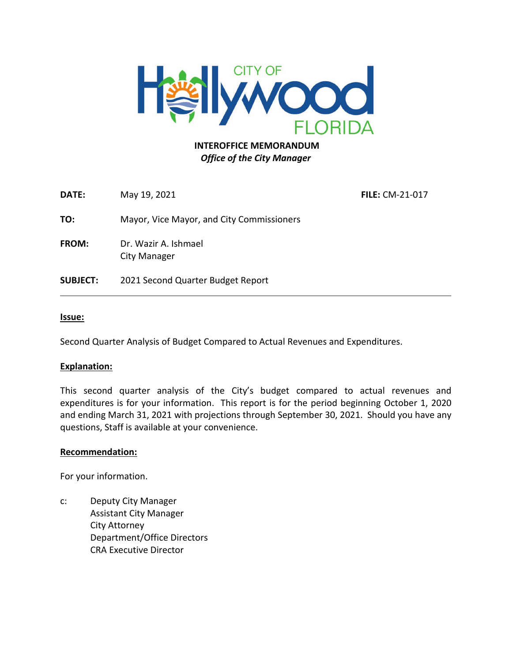

### **INTEROFFICE MEMORANDUM** *Office of the City Manager*

**DATE:** May 19, 2021 **FILE:** CM-21-017

**TO:** Mayor, Vice Mayor, and City Commissioners

**FROM:** Dr. Wazir A. Ishmael City Manager

**SUBJECT:** 2021 Second Quarter Budget Report

#### **Issue:**

Second Quarter Analysis of Budget Compared to Actual Revenues and Expenditures.

#### **Explanation:**

This second quarter analysis of the City's budget compared to actual revenues and expenditures is for your information. This report is for the period beginning October 1, 2020 and ending March 31, 2021 with projections through September 30, 2021. Should you have any questions, Staff is available at your convenience.

#### **Recommendation:**

For your information.

c: Deputy City Manager Assistant City Manager City Attorney Department/Office Directors CRA Executive Director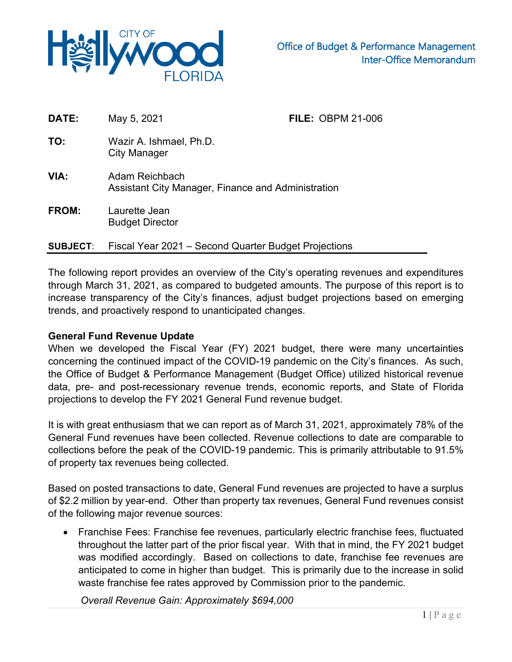

| DATE:           | May 5, 2021                                                          | <b>FILE: OBPM 21-006</b> |  |  |  |  |
|-----------------|----------------------------------------------------------------------|--------------------------|--|--|--|--|
| TO:             | Wazir A. Ishmael, Ph.D.<br>City Manager                              |                          |  |  |  |  |
| VIA:            | Adam Reichbach<br>Assistant City Manager, Finance and Administration |                          |  |  |  |  |
| <b>FROM:</b>    | Laurette Jean<br><b>Budget Director</b>                              |                          |  |  |  |  |
| <b>SUBJECT:</b> | Fiscal Year 2021 – Second Quarter Budget Projections                 |                          |  |  |  |  |

The following report provides an overview of the City's operating revenues and expenditures through March 31, 2021, as compared to budgeted amounts. The purpose of this report is to increase transparency of the City's finances, adjust budget projections based on emerging trends, and proactively respond to unanticipated changes.

### **General Fund Revenue Update**

When we developed the Fiscal Year (FY) 2021 budget, there were many uncertainties concerning the continued impact of the COVID-19 pandemic on the City's finances. As such, the Office of Budget & Performance Management (Budget Office) utilized historical revenue data, pre- and post-recessionary revenue trends, economic reports, and State of Florida projections to develop the FY 2021 General Fund revenue budget.

It is with great enthusiasm that we can report as of March 31, 2021, approximately 78% of the General Fund revenues have been collected. Revenue collections to date are comparable to collections before the peak of the COVID-19 pandemic. This is primarily attributable to 91.5% of property tax revenues being collected.

Based on posted transactions to date, General Fund revenues are projected to have a surplus of \$2.2 million by year-end. Other than property tax revenues, General Fund revenues consist of the following major revenue sources:

• Franchise Fees: Franchise fee revenues, particularly electric franchise fees, fluctuated throughout the latter part of the prior fiscal year. With that in mind, the FY 2021 budget was modified accordingly. Based on collections to date, franchise fee revenues are anticipated to come in higher than budget. This is primarily due to the increase in solid waste franchise fee rates approved by Commission prior to the pandemic.

*Overall Revenue Gain: Approximately \$694,000*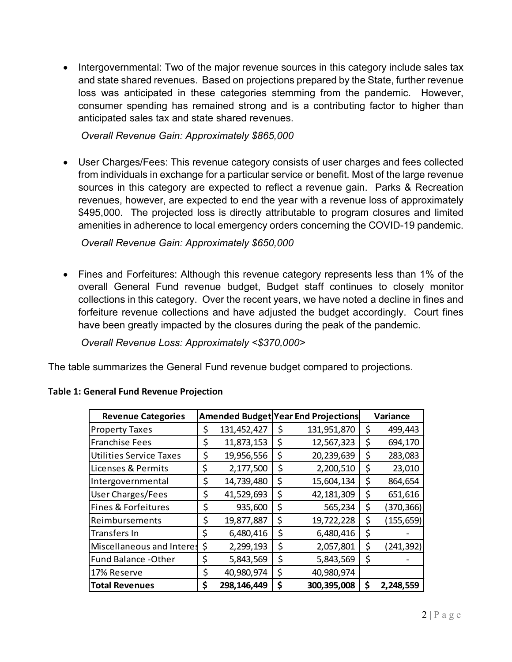• Intergovernmental: Two of the major revenue sources in this category include sales tax and state shared revenues. Based on projections prepared by the State, further revenue loss was anticipated in these categories stemming from the pandemic. However, consumer spending has remained strong and is a contributing factor to higher than anticipated sales tax and state shared revenues.

*Overall Revenue Gain: Approximately \$865,000*

• User Charges/Fees: This revenue category consists of user charges and fees collected from individuals in exchange for a particular service or benefit. Most of the large revenue sources in this category are expected to reflect a revenue gain. Parks & Recreation revenues, however, are expected to end the year with a revenue loss of approximately \$495,000. The projected loss is directly attributable to program closures and limited amenities in adherence to local emergency orders concerning the COVID-19 pandemic.

*Overall Revenue Gain: Approximately \$650,000*

• Fines and Forfeitures: Although this revenue category represents less than 1% of the overall General Fund revenue budget, Budget staff continues to closely monitor collections in this category. Over the recent years, we have noted a decline in fines and forfeiture revenue collections and have adjusted the budget accordingly. Court fines have been greatly impacted by the closures during the peak of the pandemic.

*Overall Revenue Loss: Approximately <\$370,000>*

The table summarizes the General Fund revenue budget compared to projections.

| <b>Revenue Categories</b>      |    |             | <b>Amended Budget Year End Projections</b> | Variance         |
|--------------------------------|----|-------------|--------------------------------------------|------------------|
| <b>Property Taxes</b>          | \$ | 131,452,427 | \$<br>131,951,870                          | \$<br>499,443    |
| <b>Franchise Fees</b>          | \$ | 11,873,153  | \$<br>12,567,323                           | \$<br>694,170    |
| <b>Utilities Service Taxes</b> | \$ | 19,956,556  | \$<br>20,239,639                           | \$<br>283,083    |
| Licenses & Permits             | \$ | 2,177,500   | \$<br>2,200,510                            | \$<br>23,010     |
| Intergovernmental              | \$ | 14,739,480  | \$<br>15,604,134                           | \$<br>864,654    |
| <b>User Charges/Fees</b>       | \$ | 41,529,693  | \$<br>42, 181, 309                         | \$<br>651,616    |
| Fines & Forfeitures            | \$ | 935,600     | \$<br>565,234                              | \$<br>(370, 366) |
| Reimbursements                 | \$ | 19,877,887  | \$<br>19,722,228                           | \$<br>(155, 659) |
| <b>Transfers In</b>            | \$ | 6,480,416   | \$<br>6,480,416                            | \$               |
| Miscellaneous and Interes      | \$ | 2,299,193   | \$<br>2,057,801                            | \$<br>(241, 392) |
| Fund Balance - Other           | \$ | 5,843,569   | \$<br>5,843,569                            | \$               |
| 17% Reserve                    | \$ | 40,980,974  | \$<br>40,980,974                           |                  |
| <b>Total Revenues</b>          |    | 298,146,449 | \$<br>300, 395, 008                        | \$<br>2,248,559  |

### **Table 1: General Fund Revenue Projection**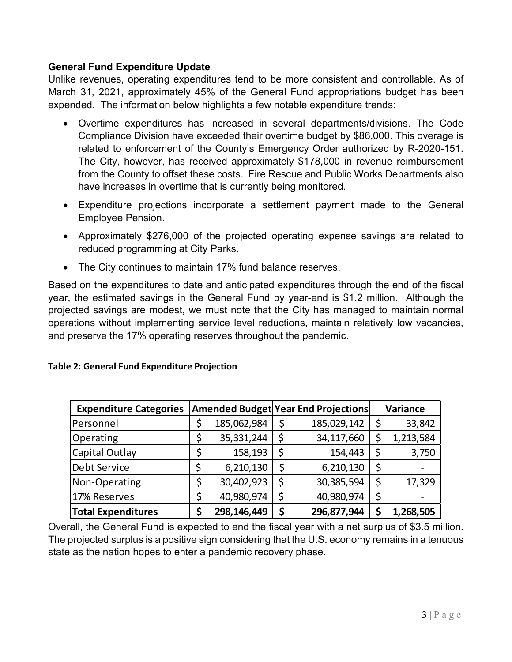### **General Fund Expenditure Update**

Unlike revenues, operating expenditures tend to be more consistent and controllable. As of March 31, 2021, approximately 45% of the General Fund appropriations budget has been expended. The information below highlights a few notable expenditure trends:

- Overtime expenditures has increased in several departments/divisions. The Code Compliance Division have exceeded their overtime budget by \$86,000. This overage is related to enforcement of the County's Emergency Order authorized by R-2020-151. The City, however, has received approximately \$178,000 in revenue reimbursement from the County to offset these costs. Fire Rescue and Public Works Departments also have increases in overtime that is currently being monitored.
- Expenditure projections incorporate a settlement payment made to the General Employee Pension.
- Approximately \$276,000 of the projected operating expense savings are related to reduced programming at City Parks.
- The City continues to maintain 17% fund balance reserves.

Based on the expenditures to date and anticipated expenditures through the end of the fiscal year, the estimated savings in the General Fund by year-end is \$1.2 million. Although the projected savings are modest, we must note that the City has managed to maintain normal operations without implementing service level reductions, maintain relatively low vacancies, and preserve the 17% operating reserves throughout the pandemic.

| <b>Expenditure Categories</b> |  |             |    | <b>Amended Budget Year End Projections</b> |    | Variance  |  |
|-------------------------------|--|-------------|----|--------------------------------------------|----|-----------|--|
| Personnel                     |  | 185,062,984 | \$ | 185,029,142                                | \$ | 33,842    |  |
| Operating                     |  | 35,331,244  | \$ | 34,117,660                                 | \$ | 1,213,584 |  |
| Capital Outlay                |  | 158,193     | \$ | 154,443                                    | Ş  | 3,750     |  |
| <b>Debt Service</b>           |  | 6,210,130   | \$ | 6,210,130                                  | \$ |           |  |
| Non-Operating                 |  | 30,402,923  | \$ | 30,385,594                                 | \$ | 17,329    |  |
| 17% Reserves                  |  | 40,980,974  | \$ | 40,980,974                                 | \$ |           |  |
| <b>Total Expenditures</b>     |  | 298,146,449 | \$ | 296,877,944                                | \$ | 1,268,505 |  |

### **Table 2: General Fund Expenditure Projection**

Overall, the General Fund is expected to end the fiscal year with a net surplus of \$3.5 million. The projected surplus is a positive sign considering that the U.S. economy remains in a tenuous state as the nation hopes to enter a pandemic recovery phase.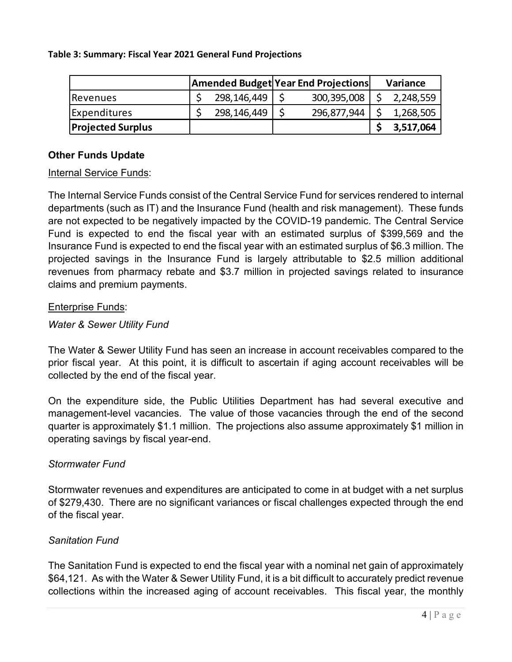#### **Table 3: Summary: Fiscal Year 2021 General Fund Projections**

|                          |  |               | <b>Amended Budget Year End Projections</b> |               | Variance |           |
|--------------------------|--|---------------|--------------------------------------------|---------------|----------|-----------|
| Revenues                 |  | 298,146,449   |                                            | 300, 395, 008 |          | 2,248,559 |
| Expenditures             |  | 298, 146, 449 |                                            | 296,877,944   |          | 1,268,505 |
| <b>Projected Surplus</b> |  |               |                                            |               |          | 3,517,064 |

## **Other Funds Update**

### Internal Service Funds:

The Internal Service Funds consist of the Central Service Fund for services rendered to internal departments (such as IT) and the Insurance Fund (health and risk management). These funds are not expected to be negatively impacted by the COVID-19 pandemic. The Central Service Fund is expected to end the fiscal year with an estimated surplus of \$399,569 and the Insurance Fund is expected to end the fiscal year with an estimated surplus of \$6.3 million. The projected savings in the Insurance Fund is largely attributable to \$2.5 million additional revenues from pharmacy rebate and \$3.7 million in projected savings related to insurance claims and premium payments.

### Enterprise Funds:

### *Water & Sewer Utility Fund*

The Water & Sewer Utility Fund has seen an increase in account receivables compared to the prior fiscal year. At this point, it is difficult to ascertain if aging account receivables will be collected by the end of the fiscal year.

On the expenditure side, the Public Utilities Department has had several executive and management-level vacancies. The value of those vacancies through the end of the second quarter is approximately \$1.1 million. The projections also assume approximately \$1 million in operating savings by fiscal year-end.

## *Stormwater Fund*

Stormwater revenues and expenditures are anticipated to come in at budget with a net surplus of \$279,430. There are no significant variances or fiscal challenges expected through the end of the fiscal year.

## *Sanitation Fund*

The Sanitation Fund is expected to end the fiscal year with a nominal net gain of approximately \$64,121. As with the Water & Sewer Utility Fund, it is a bit difficult to accurately predict revenue collections within the increased aging of account receivables. This fiscal year, the monthly